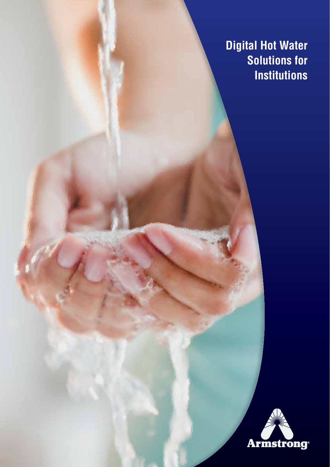**Digital Hot Water Solutions for Institutions**

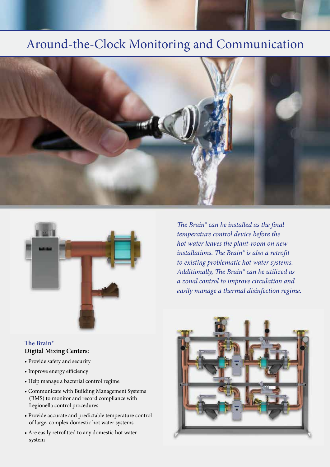# Around-the-Clock Monitoring and Communication





### **The Brain® Digital Mixing Centers:**

- Provide safety and security
- Improve energy efficiency
- Help manage a bacterial control regime
- Communicate with Building Management Systems (BMS) to monitor and record compliance with Legionella control procedures
- Provide accurate and predictable temperature control of large, complex domestic hot water systems
- Are easily retrofitted to any domestic hot water system

*The Brain® can be installed as the final temperature control device before the hot water leaves the plant-room on new installations. The Brain® is also a retrofit to existing problematic hot water systems. Additionally, The Brain® can be utilized as a zonal control to improve circulation and easily manage a thermal disinfection regime.*

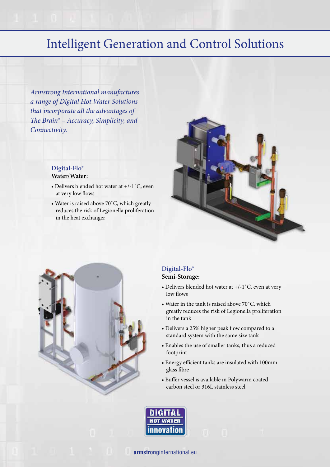# Intelligent Generation and Control Solutions

*Armstrong International manufactures a range of Digital Hot Water Solutions that incorporate all the advantages of The Brain® – Accuracy, Simplicity, and Connectivity.* 

### **Digital-Flo® Water/Water:**

- Delivers blended hot water at +/-1˚C, even at very low flows
- Water is raised above 70˚C, which greatly reduces the risk of Legionella proliferation in the heat exchanger





### **Digital-Flo® Semi-Storage:**

- Delivers blended hot water at  $+/-1$ °C, even at very low flows
- Water in the tank is raised above 70˚C, which greatly reduces the risk of Legionella proliferation in the tank
- Delivers a 25% higher peak flow compared to a standard system with the same size tank
- Enables the use of smaller tanks, thus a reduced footprint
- Energy efficient tanks are insulated with 100mm glass fibre
- Buffer vessel is available in Polywarm coated carbon steel or 316L stainless steel



**armstrong**international.eu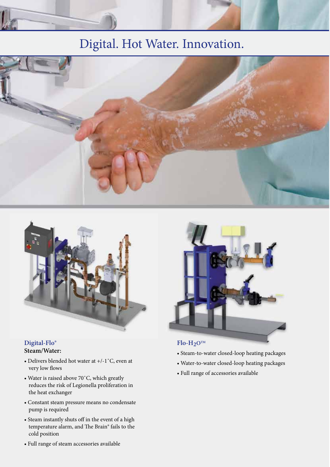# Digital. Hot Water. Innovation.





### **Digital-Flo® Steam/Water:**

- Delivers blended hot water at +/-1˚C, even at very low flows
- Water is raised above 70˚C, which greatly reduces the risk of Legionella proliferation in the heat exchanger
- Constant steam pressure means no condensate pump is required
- Steam instantly shuts off in the event of a high temperature alarm, and The Brain® fails to the cold position



### • Steam-to-water closed-loop heating packages

- Water-to-water closed-loop heating packages
- Full range of accessories available

• Full range of steam accessories available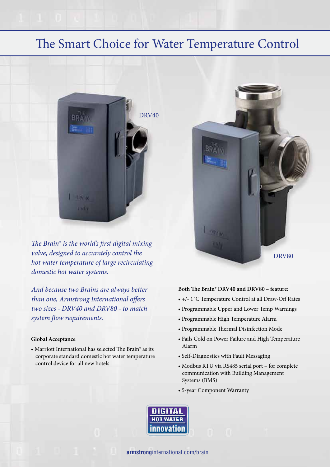## The Smart Choice for Water Temperature Control



*The Brain® is the world's first digital mixing valve, designed to accurately control the hot water temperature of large recirculating domestic hot water systems.*

*And because two Brains are always better than one, Armstrong International offers two sizes - DRV40 and DRV80 - to match system flow requirements.*

#### **Global Acceptance**

• Marriott International has selected The Brain® as its corporate standard domestic hot water temperature control device for all new hotels



#### **Both The Brain® DRV40 and DRV80 – feature:**

- +/- 1˚C Temperature Control at all Draw-Off Rates
- Programmable Upper and Lower Temp Warnings
- Programmable High Temperature Alarm
- Programmable Thermal Disinfection Mode
- Fails Cold on Power Failure and High Temperature Alarm
- Self-Diagnostics with Fault Messaging
- Modbus RTU via RS485 serial port for complete communication with Building Management Systems (BMS)
- 5-year Component Warranty